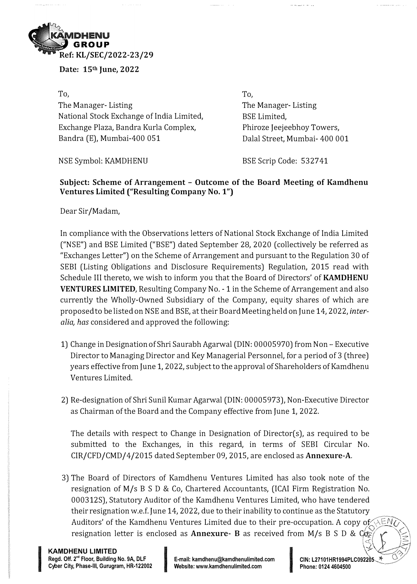

**Date: 15th June, 2022** 

**To,**  The Manager- Listing National Stock Exchange of India Limited, Exchange Plaza, Bandra Kurla Complex, Bandra (E), Mumbai-400 051

**To,**  The Manager- Listing BSE Limited, Phiroze Jeejeebhoy Towers, Dalal Street, Mumbai- 400 001

NSE Symbol: KAMDHENU

BSE Scrip Code: 532741

# **Subject: Scheme of Arrangement - Outcome of the Board Meeting of Kamdhenu Ventures Limited ("Resulting Company No. 1")**

Dear Sir/Madam,

In compliance with the Observations letters of National Stock Exchange of India Limited ("NSE") and BSE Limited ("BSE") dated September 28, 2020 (collectively be referred as "Exchanges Letter") on the Scheme of Arrangement and pursuant to the Regulation 30 of SEBI (Listing Obligations and Disclosure Requirements) Regulation, 2015 read with Schedule III thereto, we wish to inform you that the Board of Directors' of **KAMDHENU VENTURES LIMITED, Resulting Company No. - 1 in the Scheme of Arrangement and also** currently the Wholly-Owned Subsidiary of the Company, equity shares of which are proposed to be listed on NSE and BSE, at their Board Meeting held on June 14, 2022, *interalia, has* considered and approved the following:

- 1) Change in Designation of Shri Saurabh Agarwal (DIN: 00005970) from Non- Executive Director to Managing Director and Key Managerial Personnel, for a period of 3 (three) years effective from June 1, 2022, subject to the approval of Shareholders of Kamdhenu Ventures Limited.
- 2) Re-designation of Shri Sunil Kumar Agarwal (DIN: 00005973), Non-Executive Director as Chairman of the Board and the Company effective from June 1, 2022.

The details with respect to Change in Designation of Director(s), as required to be submitted to the Exchanges, in this regard, in terms of SEBI Circular No. CIR/CFD/CMD/4/2015 dated September 09, 2015, are enclosed as **Annexure-A.**

3) The Board of Directors of Kamdhenu Ventures Limited has also took note of the resignation of M/s B S D & Co, Chartered Accountants, (ICAI Firm Registration No. 000312S), Statutory Auditor of the Kamdhenu Ventures Limited, who have tendered their resignation w.e.f. June 14, 2022, due to their inability to continue as the Statutory Auditors' of the Kamdhenu Ventures Limited due to their pre-occupation. A copy of  $\sqrt{EMC}$ . resignation letter is enclosed as **Annexure- B** as received from M/s B S D & Com<br> **Cyber City, Phase-Ill, Gurugram, HR-122002 I Cyristic:** www.kamdhenulimited.com<br>
Cyber City, Phase-Ill, Gurugram, HR-122002 **Website:**  $|\mathcal{Z}|$   $| \leq |$ 

**In the contract of the contract of the contract of the contract of the contract of the contract of the contract of the contract of the contract of the contract of the contract of the contract of the contract of the contra**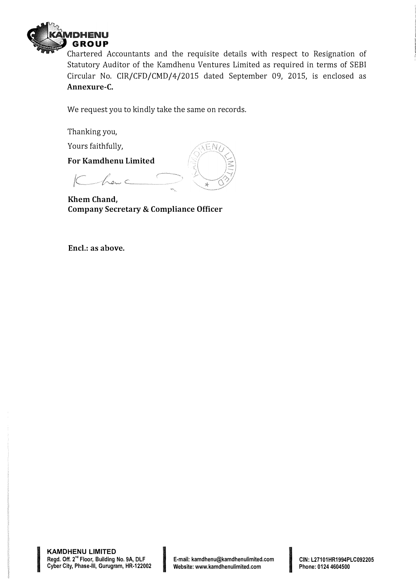

Chartered Accountants and the requisite details with respect to Resignation of Statutory Auditor of the Kamdhenu Ventures Limited as required in terms of SEBI Circular No. CIR/CFD/CMD/4/2015 dated September 09, 2015, is enclosed as **Annexure-C.** 

EN

We request you to kindly take the same on records.

Thanking you,

Yours faithfully,

**For Kamdhenu Limited** 

Khanc

**Khem Chand, Company Secretary & Compliance Officer** 

**Encl.: as above.** 

**INSURANCE AND DESCRIPTION**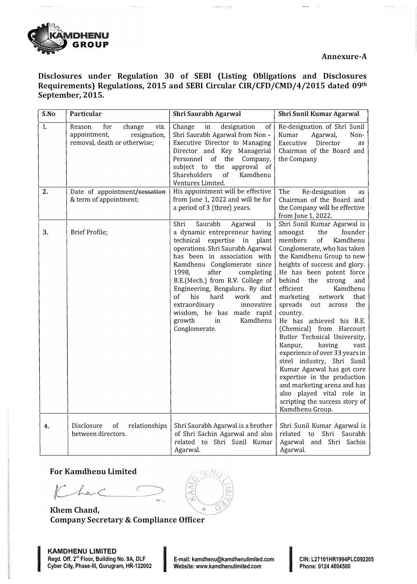

 $\cdots$  $\bar{z}$ 

**Disclosures under Regulation 30 of SEBI (Listing Obligations and Disclosures Requirements) Regulations, 2015 and SEBI Circular CIR/CFD/CMD/4/2015 dated 09th September, 2015.** 

| S.No | Particular                                                                                      | Shri Saurabh Agarwal                                                                                                                                                                                                                                                                                                                                                                                                                                        | Shri Sunil Kumar Agarwal                                                                                                                                                                                                                                                                                                                                                                                                                                                                                                                                                                                                                                                                                                 |
|------|-------------------------------------------------------------------------------------------------|-------------------------------------------------------------------------------------------------------------------------------------------------------------------------------------------------------------------------------------------------------------------------------------------------------------------------------------------------------------------------------------------------------------------------------------------------------------|--------------------------------------------------------------------------------------------------------------------------------------------------------------------------------------------------------------------------------------------------------------------------------------------------------------------------------------------------------------------------------------------------------------------------------------------------------------------------------------------------------------------------------------------------------------------------------------------------------------------------------------------------------------------------------------------------------------------------|
| 1.   | Reason<br>for<br>change<br>viz.<br>appointment,<br>resignation,<br>removal, death or otherwise; | Change<br>in<br>designation<br>of<br>Shri Saurabh Agarwal from Non -<br>Executive Director to Managing<br>Director and Key Managerial<br>Personnel of the Company,<br>subject to the approval of<br><b>Shareholders</b><br>of<br>Kamdhenu<br>Ventures Limited.                                                                                                                                                                                              | Re-designation of Shri Sunil<br>Kumar<br>Agarwal,<br>Non-<br>Director<br>Executive<br>as<br>Chairman of the Board and<br>the Company                                                                                                                                                                                                                                                                                                                                                                                                                                                                                                                                                                                     |
| 2.   | Date of appointment/eessation<br>& term of appointment;                                         | His appointment will be effective<br>from June 1, 2022 and will be for<br>a period of 3 (three) years.                                                                                                                                                                                                                                                                                                                                                      | The<br>Re-designation<br>as<br>Chairman of the Board and<br>the Company will be effective<br>from June 1, 2022.                                                                                                                                                                                                                                                                                                                                                                                                                                                                                                                                                                                                          |
| 3.   | Brief Profile;                                                                                  | Saurabh<br>Shri<br>Agarwal<br>is<br>a dynamic entrepreneur having<br>expertise in plant<br>technical<br>operations. Shri Saurabh Agarwal<br>has been in association with<br>Kamdhenu Conglomerate since<br>1998.<br>after<br>completing<br>B.E.(Mech.) from R.V. College of<br>Engineering, Bengaluru. By dint<br>of<br>his<br>hard<br>work<br>and<br>extraordinary<br>innovative<br>wisdom, he has made rapid<br>growth<br>in<br>Kamdhenu<br>Conglomerate. | Shri Sunil Kumar Agarwal is<br>the<br>founder<br>amongst<br>of<br>Kamdhenu<br>members<br>Conglomerate, who has taken<br>the Kamdhenu Group to new<br>heights of success and glory.<br>He has been potent force<br>behind<br>the<br>strong<br>and<br>Kamdhenu<br>efficient<br>marketing<br>network<br>that<br>spreads out<br>the<br>across<br>country.<br>He has achieved his B.E.<br>(Chemical) from Harcourt<br>Butler Technical University,<br>Kanpur,<br>having<br>vast<br>experience of over 33 years in<br>steel industry, Shri Sunil<br>Kumar Agarwal has got core<br>expertise in the production<br>and marketing arena and has<br>also played vital role in<br>scripting the success story of<br>Kamdhenu Group. |
| 4.   | of<br>Disclosure<br>relationships<br>between directors.                                         | Shri Saurabh Agarwal is a brother<br>of Shri Sachin Agarwal and also<br>related to Shri Sunil Kumar<br>Agarwal.                                                                                                                                                                                                                                                                                                                                             | Shri Sunil Kumar Agarwal is<br>related to<br>Shri Saurabh<br>Agarwal and Shri Sachin<br>Agarwal.                                                                                                                                                                                                                                                                                                                                                                                                                                                                                                                                                                                                                         |

## **For Kamdhenu Limited**

I

Charc

**Rhem Chand, Company Secretary & Compliance Officer** 



**INTERNATIONAL STATE**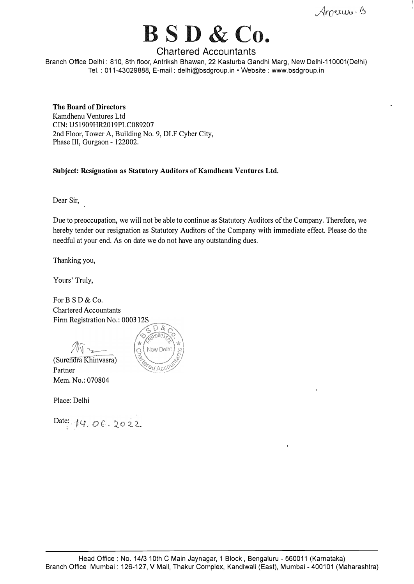American-B

# **BSD & Co.**

# **Chartered Accountants**

Branch Office Delhi : 810, 8th floor, Antriksh Bhawan, 22 Kasturba Gandhi Marg, New Delhi-110001(Delhi) Tel.: 011-43029888, E-mail: delhi@bsdgroup.in •Website: www.bsdgroup.in

#### **The Board of Directors**

Kamdhenu Ventures Ltd CIN: U51909HR2019PLC089207 2nd Floor, Tower A, Building No. 9, DLF Cyber City, Phase III, Gurgaon - 122002.

**Subject: Resignation as Statutory Auditors of Kamdhenu Ventures Ltd.** 

Dear Sir,

Due to preoccupation, we will not be able to continue as Statutory Auditors of the Company. Therefore, we hereby tender our resignation as Statutory Auditors of the Company with immediate effect. Please do the needful at your end. As on date we do not have any outstanding dues.

Thanking you,

Yours' Truly,

For B S D & Co. Chartered Accountants Firm Registration No.: 0003



(Surendra Khinvasra) Partner Mem. No.: 070804

Place: Delhi

Date: 14.06.2022